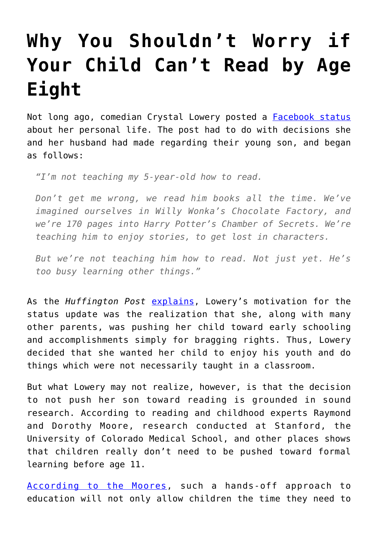## **[Why You Shouldn't Worry if](https://intellectualtakeout.org/2017/08/why-you-shouldnt-worry-if-your-child-cant-read-by-age-eight/) [Your Child Can't Read by Age](https://intellectualtakeout.org/2017/08/why-you-shouldnt-worry-if-your-child-cant-read-by-age-eight/) [Eight](https://intellectualtakeout.org/2017/08/why-you-shouldnt-worry-if-your-child-cant-read-by-age-eight/)**

Not long ago, comedian Crystal Lowery posted a **[Facebook status](https://www.facebook.com/CreepyGingerKid/photos/a.663395857049782.1073741828.504694486253254/1586296651426360/?type=3&theater)** about her personal life. The post had to do with decisions she and her husband had made regarding their young son, and began as follows:

*"I'm not teaching my 5-year-old how to read.*

*Don't get me wrong, we read him books all the time. We've imagined ourselves in Willy Wonka's Chocolate Factory, and we're 170 pages into Harry Potter's Chamber of Secrets. We're teaching him to enjoy stories, to get lost in characters.*

*But we're not teaching him how to read. Not just yet. He's too busy learning other things."*

As the *Huffington Post* [explains](http://www.huffingtonpost.com/entry/why-these-parents-are-waiting-to-teach-their-5-year-old-son-to-read_us_59a464bde4b05710aa5e3f3d), Lowery's motivation for the status update was the realization that she, along with many other parents, was pushing her child toward early schooling and accomplishments simply for bragging rights. Thus, Lowery decided that she wanted her child to enjoy his youth and do things which were not necessarily taught in a classroom.

But what Lowery may not realize, however, is that the decision to not push her son toward reading is grounded in sound research. According to reading and childhood experts Raymond and Dorothy Moore, research conducted at Stanford, the University of Colorado Medical School, and other places shows that children really don't need to be pushed toward formal learning before age 11.

[According to the Moores](https://www.amazon.com/Better-Late-Than-Early-Education/dp/0883490498), such a hands-off approach to education will not only allow children the time they need to